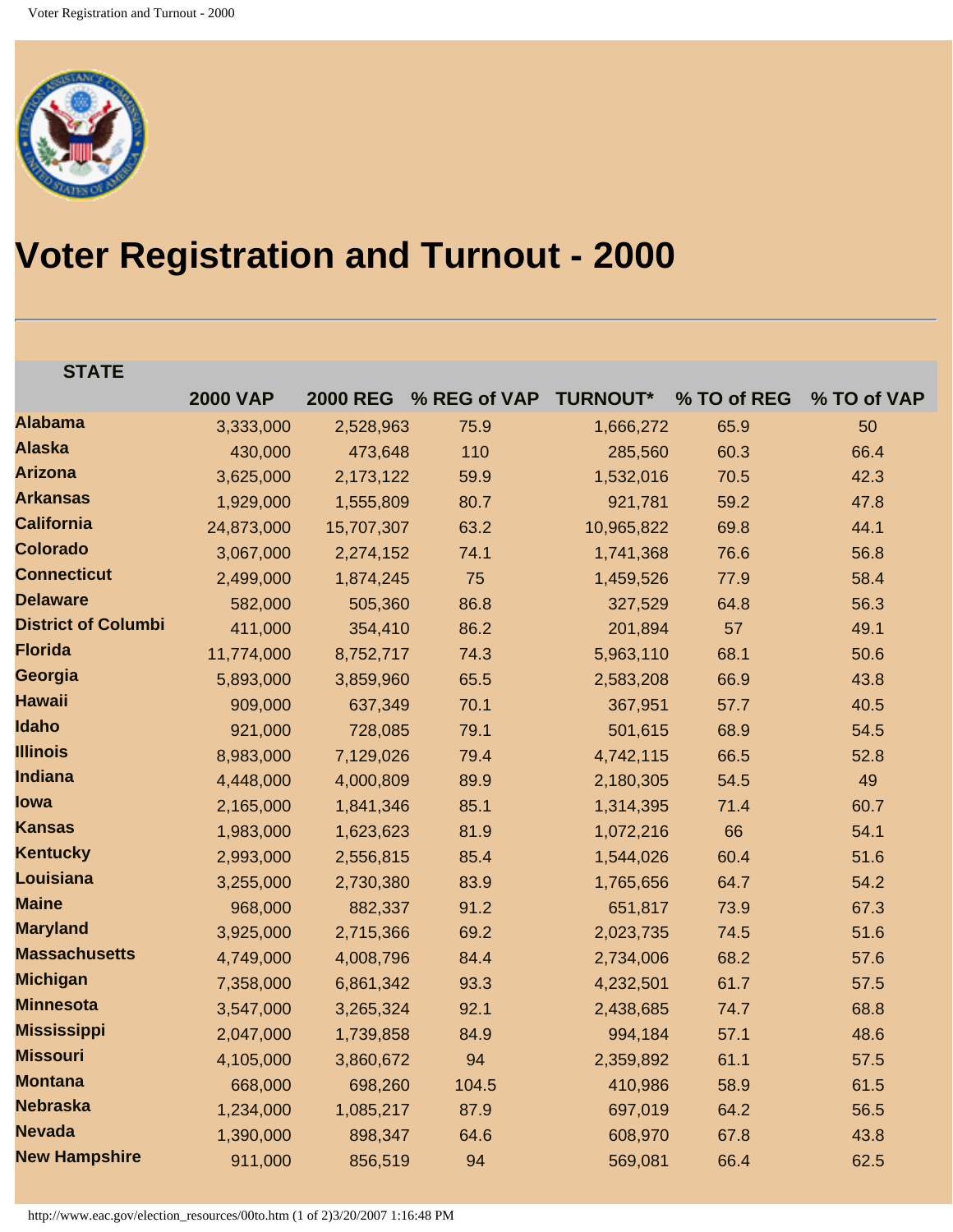

## **Voter Registration and Turnout - 2000**

## **STATE**

|                            | <b>2000 VAP</b> | <b>2000 REG</b> | % REG of VAP | <b>TURNOUT*</b> | % TO of REG | % TO of VAP |
|----------------------------|-----------------|-----------------|--------------|-----------------|-------------|-------------|
| <b>Alabama</b>             | 3,333,000       | 2,528,963       | 75.9         | 1,666,272       | 65.9        | 50          |
| <b>Alaska</b>              | 430,000         | 473,648         | 110          | 285,560         | 60.3        | 66.4        |
| <b>Arizona</b>             | 3,625,000       | 2,173,122       | 59.9         | 1,532,016       | 70.5        | 42.3        |
| <b>Arkansas</b>            | 1,929,000       | 1,555,809       | 80.7         | 921,781         | 59.2        | 47.8        |
| <b>California</b>          | 24,873,000      | 15,707,307      | 63.2         | 10,965,822      | 69.8        | 44.1        |
| <b>Colorado</b>            | 3,067,000       | 2,274,152       | 74.1         | 1,741,368       | 76.6        | 56.8        |
| <b>Connecticut</b>         | 2,499,000       | 1,874,245       | 75           | 1,459,526       | 77.9        | 58.4        |
| <b>Delaware</b>            | 582,000         | 505,360         | 86.8         | 327,529         | 64.8        | 56.3        |
| <b>District of Columbi</b> | 411,000         | 354,410         | 86.2         | 201,894         | 57          | 49.1        |
| <b>Florida</b>             | 11,774,000      | 8,752,717       | 74.3         | 5,963,110       | 68.1        | 50.6        |
| Georgia                    | 5,893,000       | 3,859,960       | 65.5         | 2,583,208       | 66.9        | 43.8        |
| <b>Hawaii</b>              | 909,000         | 637,349         | 70.1         | 367,951         | 57.7        | 40.5        |
| <b>Idaho</b>               | 921,000         | 728,085         | 79.1         | 501,615         | 68.9        | 54.5        |
| <b>Illinois</b>            | 8,983,000       | 7,129,026       | 79.4         | 4,742,115       | 66.5        | 52.8        |
| <b>Indiana</b>             | 4,448,000       | 4,000,809       | 89.9         | 2,180,305       | 54.5        | 49          |
| <b>lowa</b>                | 2,165,000       | 1,841,346       | 85.1         | 1,314,395       | 71.4        | 60.7        |
| <b>Kansas</b>              | 1,983,000       | 1,623,623       | 81.9         | 1,072,216       | 66          | 54.1        |
| <b>Kentucky</b>            | 2,993,000       | 2,556,815       | 85.4         | 1,544,026       | 60.4        | 51.6        |
| <b>Louisiana</b>           | 3,255,000       | 2,730,380       | 83.9         | 1,765,656       | 64.7        | 54.2        |
| <b>Maine</b>               | 968,000         | 882,337         | 91.2         | 651,817         | 73.9        | 67.3        |
| <b>Maryland</b>            | 3,925,000       | 2,715,366       | 69.2         | 2,023,735       | 74.5        | 51.6        |
| <b>Massachusetts</b>       | 4,749,000       | 4,008,796       | 84.4         | 2,734,006       | 68.2        | 57.6        |
| <b>Michigan</b>            | 7,358,000       | 6,861,342       | 93.3         | 4,232,501       | 61.7        | 57.5        |
| <b>Minnesota</b>           | 3,547,000       | 3,265,324       | 92.1         | 2,438,685       | 74.7        | 68.8        |
| <b>Mississippi</b>         | 2,047,000       | 1,739,858       | 84.9         | 994,184         | 57.1        | 48.6        |
| <b>Missouri</b>            | 4,105,000       | 3,860,672       | 94           | 2,359,892       | 61.1        | 57.5        |
| <b>Montana</b>             | 668,000         | 698,260         | 104.5        | 410,986         | 58.9        | 61.5        |
| <b>Nebraska</b>            | 1,234,000       | 1,085,217       | 87.9         | 697,019         | 64.2        | 56.5        |
| <b>Nevada</b>              | 1,390,000       | 898,347         | 64.6         | 608,970         | 67.8        | 43.8        |
| <b>New Hampshire</b>       | 911,000         | 856,519         | 94           | 569,081         | 66.4        | 62.5        |